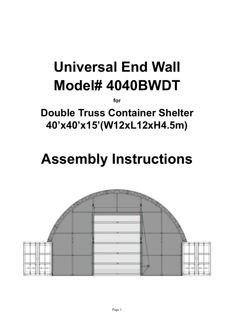# **Universal End Wall Model# 4040BWDT**

**for**

**Double Truss Container Shelter 40'x40'x15'(W12xL12xH4.5m)**

## **Assembly Instructions**

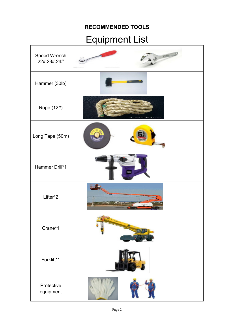## **RECOMMENDED TOOLS**

## Equipment List

| Speed Wrench<br>22#.23#.24# | $\begin{array}{c} \begin{array}{c} \end{array} \end{array}$ |
|-----------------------------|-------------------------------------------------------------|
| Hammer (30lb)               |                                                             |
| Rope (12#)                  | tzhuarui.cn.alibaba.com                                     |
| Long Tape (50m)             |                                                             |
| Hammer Drill*1              |                                                             |
| Lifter*2                    |                                                             |
| Crane*1                     |                                                             |
| Forklift*1                  |                                                             |
| Protective<br>equipment     |                                                             |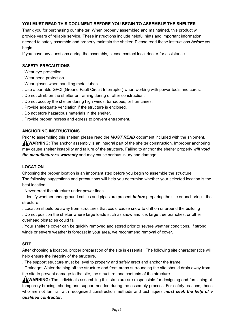#### **YOU MUST READ THIS DOCUMENT BEFORE YOU BEGIN TO ASSEMBLE THE SHELTER**.

Thank you for purchasing our shelter. When properly assembled and maintained, this product will provide years of reliable service. These instructions include helpful hints and important information needed to safely assemble and properly maintain the shelter. Please read these instructions *before* you begin.

If you have any questions during the assembly, please contact local dealer for assistance.

#### **SAFETY PRECAUTIONS**

- . Wear eye protection.
- . Wear head protection
- . Wear gloves when handling metal tubes
- . Use a portable GFCI (Ground Fault Circuit Interrupter) when working with power tools and cords.
- . Do not climb on the shelter or framing during or after construction.
- . Do not occupy the shelter during high winds, tornadoes, or hurricanes.
- . Provide adequate ventilation if the structure is enclosed.
- . Do not store hazardous materials in the shelter.
- . Provide proper ingress and egress to prevent entrapment.

#### **ANCHORING INSTRUCTIONS**

Prior to assembling this shelter, please read the *MUST READ* document included with the shipment. **WARNING:** The anchor assembly is an integral part of the shelter construction. Improper anchoring may cause shelter instability and failure of the structure. Failing to anchor the shelter properly *will void the manufacturer's warranty* and may cause serious injury and damage.

#### **LOCATION**

Choosing the proper location is an important step before you begin to assemble the structure. The following suggestions and precautions will help you determine whether your selected location is the best location.

. Never erect the structure under power lines.

. Identify whether underground cables and pipes are present *before* preparing the site or anchoring the structure.

. Location should be away from structures that could cause snow to drift on or around the building

. Do not position the shelter where large loads such as snow and ice, large tree branches, or other overhead obstacles could fall.

. Your shelter's cover can be quickly removed and stored prior to severe weather conditions. If strong winds or severe weather is forecast in your area, we recommend removal of cover.

#### **SITE**

After choosing a location, proper preparation of the site is essential. The following site characteristics will help ensure the integrity of the structure.

. The support structure must be level to properly and safely erect and anchor the frame.

. Drainage: Water draining off the structure and from areas surrounding the site should drain away from the site to prevent damage to the site, the structure, and contents of the structure.

**WARNING:** The individuals assembling this structure are responsible for designing and furnishing all temporary bracing, shoring and support needed during the assembly process. For safety reasons, those who are not familiar with recognized construction methods and techniques *must seek the help of a qualified contractor.*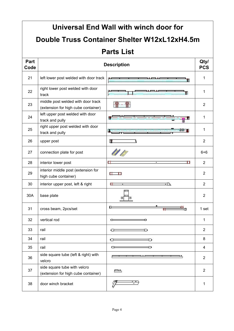|              | Universal End Wall with winch door for<br>Double Truss Container Shelter W12xL12xH4.5m<br><b>Parts List</b> |         |                    |  |  |  |  |
|--------------|-------------------------------------------------------------------------------------------------------------|---------|--------------------|--|--|--|--|
|              |                                                                                                             |         |                    |  |  |  |  |
|              |                                                                                                             |         |                    |  |  |  |  |
| Part<br>Code | <b>Description</b>                                                                                          |         | Qty/<br><b>PCS</b> |  |  |  |  |
| 21           | left lower post welded with door track                                                                      |         | 1                  |  |  |  |  |
| 22           | right lower post welded with door<br>track                                                                  |         | 1                  |  |  |  |  |
| 23           | middle post welded with door track<br>(extension for high cube container)                                   |         | $\overline{2}$     |  |  |  |  |
| 24           | left upper post welded with door<br>track and pully                                                         |         | 1                  |  |  |  |  |
| 25           | right upper post welded with door<br>track and pully                                                        |         | 1                  |  |  |  |  |
| 26           | upper post                                                                                                  | Ш       | 2                  |  |  |  |  |
| 27           | connection plate for post                                                                                   |         | $6 + 6$            |  |  |  |  |
| 28           | interior lower post                                                                                         | П<br>u  | $\overline{2}$     |  |  |  |  |
| 29           | interior middle post (extension for<br>high cube container)                                                 | H.      | $\overline{2}$     |  |  |  |  |
| 30           | interior upper post, left & right                                                                           | ╙<br>⊃৲ | 2                  |  |  |  |  |
| 30A          | base plate                                                                                                  |         | 2                  |  |  |  |  |
| 31           | cross beam, 2pcs/set                                                                                        | œ       | 1 set              |  |  |  |  |
| 32           | vertical rod                                                                                                | ∝       | 1                  |  |  |  |  |
| 33           | rail                                                                                                        | ∝       | $\overline{2}$     |  |  |  |  |
| 34           | rail                                                                                                        | €       | 8                  |  |  |  |  |
| 35           | rail                                                                                                        | c       | 4                  |  |  |  |  |
| 36           | side square tube (left & right) with<br>velcro                                                              | ш,      | $\overline{2}$     |  |  |  |  |
| 37           | side square tube with velcro<br>(extension for high cube container)                                         | FШ.     | $\overline{2}$     |  |  |  |  |
| 38           | door winch bracket                                                                                          |         | 1                  |  |  |  |  |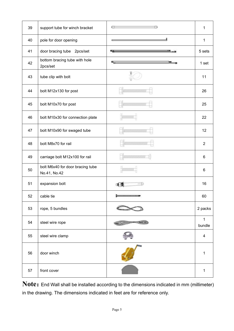| 39 | support tube for winch bracket                   | 何く<br>л                         | 1                        |
|----|--------------------------------------------------|---------------------------------|--------------------------|
| 40 | pole for door opening                            |                                 | $\mathbf{1}$             |
| 41 | door bracing tube 2pcs/set                       | 咥                               | 5 sets                   |
| 42 | bottom bracing tube with hole<br>2pcs/set        | ℡                               | 1 set                    |
| 43 | tube clip with bolt                              |                                 | 11                       |
| 44 | bolt M12x130 for post                            | <b>The State State Add</b>      | 26                       |
| 45 | bolt M10x70 for post                             | <b><i><u>ANG MANASA</u></i></b> | 25                       |
| 46 | bolt M10x30 for connection plate                 | <b>BOODWAY</b>                  | 22                       |
| 47 | bolt M10x90 for swaged tube                      | <b>RANGERS</b>                  | 12                       |
| 48 | bolt M8x70 for rail                              |                                 | $\overline{2}$           |
| 49 | carriage bolt M12x100 for rail                   |                                 | $\,6\,$                  |
| 50 | bolt M6x40 for door bracing tube<br>No.41, No.42 |                                 | 6                        |
| 51 | expansion bolt                                   |                                 | 16                       |
| 52 | cable tie                                        |                                 | 60                       |
| 53 | rope, 5 bundles                                  |                                 | 2 packs                  |
| 54 | steel wire rope                                  |                                 | $\mathbf{1}$<br>bundle   |
| 55 | steel wire clamp                                 |                                 | $\overline{\mathcal{A}}$ |
| 56 | door winch                                       |                                 | $\mathbf{1}$             |
| 57 | front cover                                      |                                 | $\mathbf{1}$             |

Note: End Wall shall be installed according to the dimensions indicated in mm (millimeter) in the drawing. The dimensions indicated in feet are for reference only.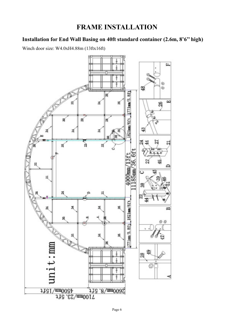## **FRAME INSTALLATION**

## **Installation for End Wall Basing on 40ft standard container (2.6m, 8'6'' high)**

Winch door size: W4.0xH4.88m (13ftx16ft)

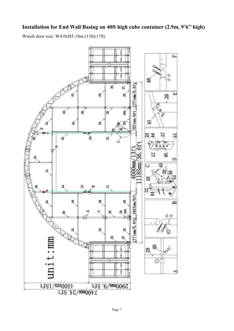## **Installation for End Wall Basing on 40ft high cube container (2.9m, 9'6'' high)**

Winch door size: W4.0xH5.18m (13ftx17ft)

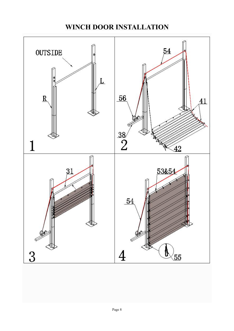## **WINCH DOOR INSTALLATION**

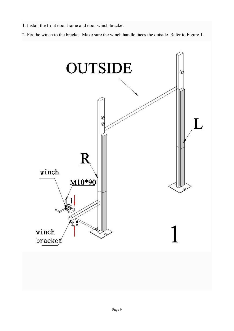- 1. Install the front door frame and door winch bracket
- 2. Fix the winch to the bracket. Make sure the winch handle faces the outside. Refer to Figure 1.

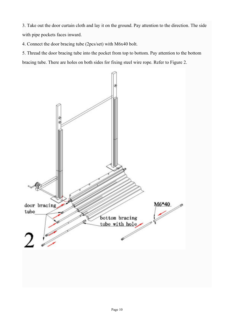3. Take out the door curtain cloth and lay it on the ground. Pay attention to the direction. The side with pipe pockets faces inward.

4. Connect the door bracing tube (2pcs/set) with M6x40 bolt.

5. Thread the door bracing tube into the pocket from top to bottom. Pay attention to the bottom bracing tube. There are holes on both sides for fixing steel wire rope. Refer to Figure 2.

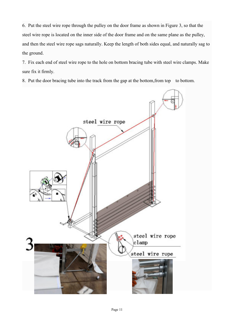6. Put the steel wire rope through the pulley on the door frame as shown in Figure 3, so that the steel wire rope is located on the inner side of the door frame and on the same plane as the pulley, and then the steel wire rope sags naturally. Keep the length of both sides equal, and naturally sag to the ground.

7. Fix each end of steel wire rope to the hole on bottom bracing tube with steel wire clamps. Make sure fix it firmly.

8. Put the door bracing tube into the track from the gap at the bottom, from top to bottom.

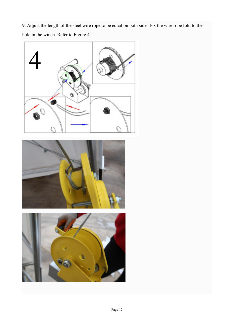9. Adjust the length of the steel wire rope to be equal on both sides.Fix the wire rope fold to the hole in the winch. Refer to Figure 4.

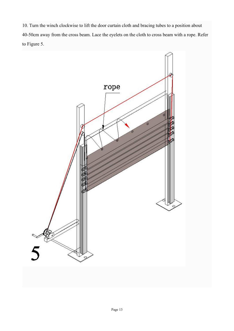10. Turn the winch clockwise to lift the door curtain cloth and bracing tubes to a position about 40-50cm away from the cross beam. Lace the eyelets on the cloth to cross beam with a rope. Refer to Figure 5.

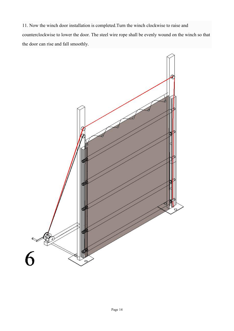11. Now the winch door installation is completed.Turn the winch clockwise to raise and counterclockwise to lower the door. The steel wire rope shall be evenly wound on the winch so that the door can rise and fall smoothly.

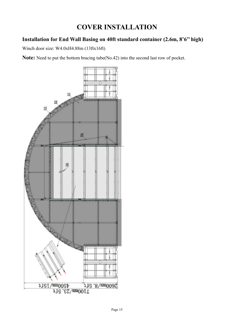## **COVER INSTALLATION**

## **Installation for End Wall Basing on 40ft standard container (2.6m, 8'6'' high)**

Winch door size: W4.0xH4.88m (13ftx16ft)

**Note:** Need to put the bottom bracing tube(No.42) into the second last row of pocket.